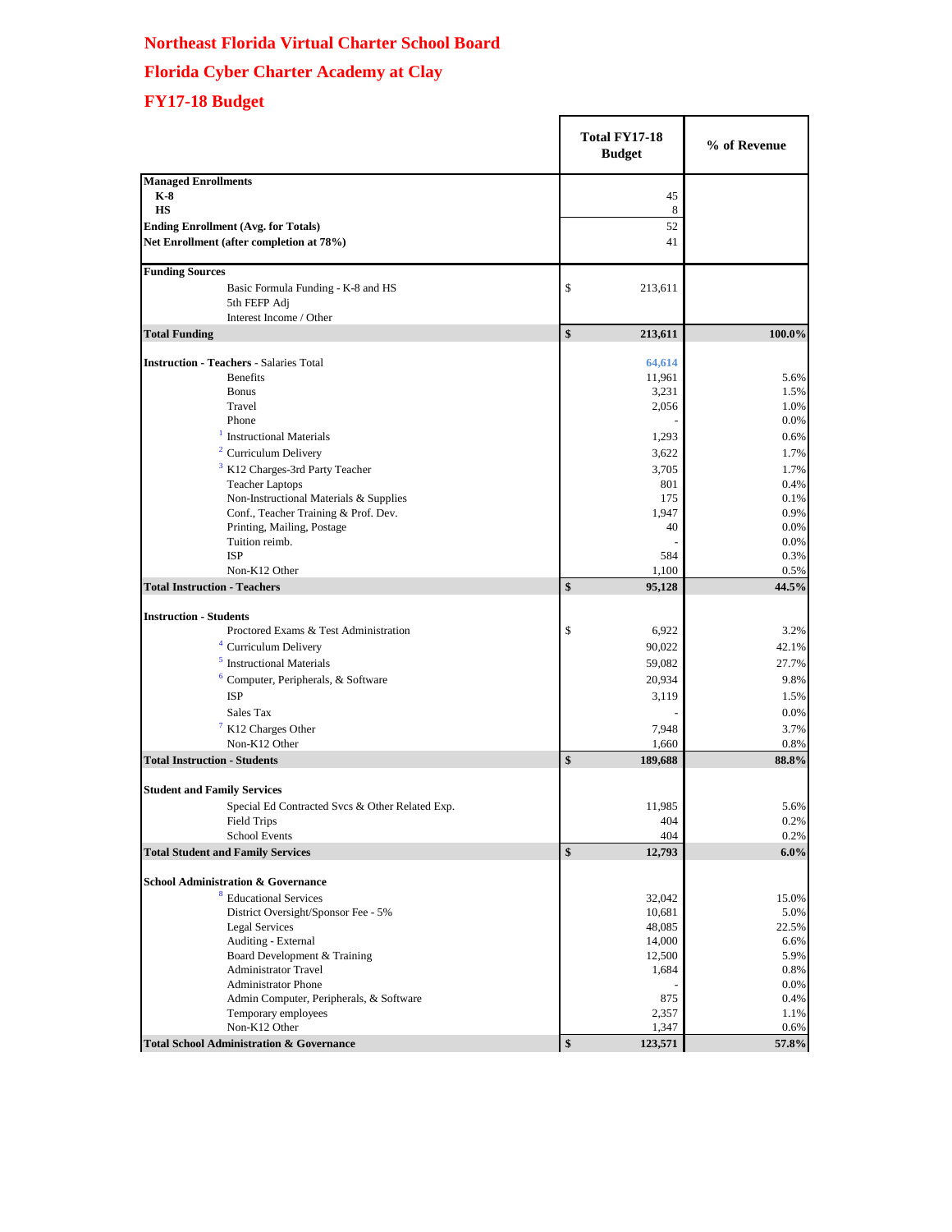## **Northeast Florida Virtual Charter School Board Florida Cyber Charter Academy at Clay FY17-18 Budget**

|                                                     | <b>Total FY17-18</b><br><b>Budget</b> |                  | % of Revenue  |
|-----------------------------------------------------|---------------------------------------|------------------|---------------|
| <b>Managed Enrollments</b>                          |                                       |                  |               |
| $K-8$                                               |                                       | 45               |               |
| <b>HS</b>                                           |                                       | 8                |               |
| <b>Ending Enrollment (Avg. for Totals)</b>          |                                       | 52               |               |
| Net Enrollment (after completion at 78%)            |                                       | 41               |               |
| <b>Funding Sources</b>                              |                                       |                  |               |
| Basic Formula Funding - K-8 and HS                  | \$                                    | 213,611          |               |
| 5th FEFP Adj                                        |                                       |                  |               |
| Interest Income / Other                             |                                       |                  |               |
| <b>Total Funding</b>                                | \$                                    | 213,611          | 100.0%        |
| <b>Instruction - Teachers - Salaries Total</b>      |                                       | 64,614           |               |
| <b>Benefits</b>                                     |                                       | 11,961           | 5.6%          |
| <b>Bonus</b>                                        |                                       | 3,231            | 1.5%          |
| Travel                                              |                                       | 2,056            | 1.0%          |
| Phone                                               |                                       |                  | 0.0%          |
| <b>Instructional Materials</b>                      |                                       | 1,293            | 0.6%          |
| <sup>2</sup> Curriculum Delivery                    |                                       | 3,622            | 1.7%          |
| 3<br>K12 Charges-3rd Party Teacher                  |                                       | 3,705            | 1.7%          |
| <b>Teacher Laptops</b>                              |                                       | 801              | 0.4%          |
| Non-Instructional Materials & Supplies              |                                       | 175              | 0.1%          |
| Conf., Teacher Training & Prof. Dev.                |                                       | 1,947            | 0.9%          |
| Printing, Mailing, Postage                          |                                       | 40               | 0.0%          |
| Tuition reimb.                                      |                                       |                  | 0.0%          |
| <b>ISP</b>                                          |                                       | 584              | 0.3%          |
| Non-K12 Other                                       |                                       | 1,100            | 0.5%          |
| <b>Total Instruction - Teachers</b>                 | \$                                    | 95,128           | 44.5%         |
| <b>Instruction - Students</b>                       |                                       |                  |               |
| Proctored Exams & Test Administration               | \$                                    | 6,922            | 3.2%          |
| <sup>4</sup> Curriculum Delivery                    |                                       | 90,022           | 42.1%         |
| <b>Instructional Materials</b>                      |                                       | 59,082           | 27.7%         |
| 6<br>Computer, Peripherals, & Software              |                                       | 20,934           | 9.8%          |
| <b>ISP</b>                                          |                                       | 3,119            | 1.5%          |
| Sales Tax                                           |                                       |                  | 0.0%          |
| <sup>7</sup> K12 Charges Other                      |                                       | 7,948            | 3.7%          |
| Non-K12 Other                                       |                                       | 1,660            | 0.8%          |
| <b>Total Instruction - Students</b>                 | \$                                    | 189,688          | 88.8%         |
| <b>Student and Family Services</b>                  |                                       |                  |               |
|                                                     |                                       |                  |               |
| Special Ed Contracted Svcs & Other Related Exp.     |                                       | 11,985<br>404    | 5.6%<br>0.2%  |
| Field Trips<br><b>School Events</b>                 |                                       | 404              | 0.2%          |
| <b>Total Student and Family Services</b>            | \$                                    | 12,793           | $6.0\%$       |
| <b>School Administration &amp; Governance</b>       |                                       |                  |               |
| 8<br><b>Educational Services</b>                    |                                       |                  |               |
| District Oversight/Sponsor Fee - 5%                 |                                       | 32,042           | 15.0%         |
| <b>Legal Services</b>                               |                                       | 10,681<br>48,085 | 5.0%<br>22.5% |
| Auditing - External                                 |                                       | 14,000           | 6.6%          |
| Board Development & Training                        |                                       | 12,500           | 5.9%          |
| <b>Administrator Travel</b>                         |                                       | 1,684            | 0.8%          |
| <b>Administrator Phone</b>                          |                                       |                  | 0.0%          |
| Admin Computer, Peripherals, & Software             |                                       | 875              | 0.4%          |
| Temporary employees                                 |                                       | 2,357            | 1.1%          |
| Non-K12 Other                                       |                                       | 1,347            | 0.6%          |
| <b>Total School Administration &amp; Governance</b> | \$                                    | 123,571          | 57.8%         |